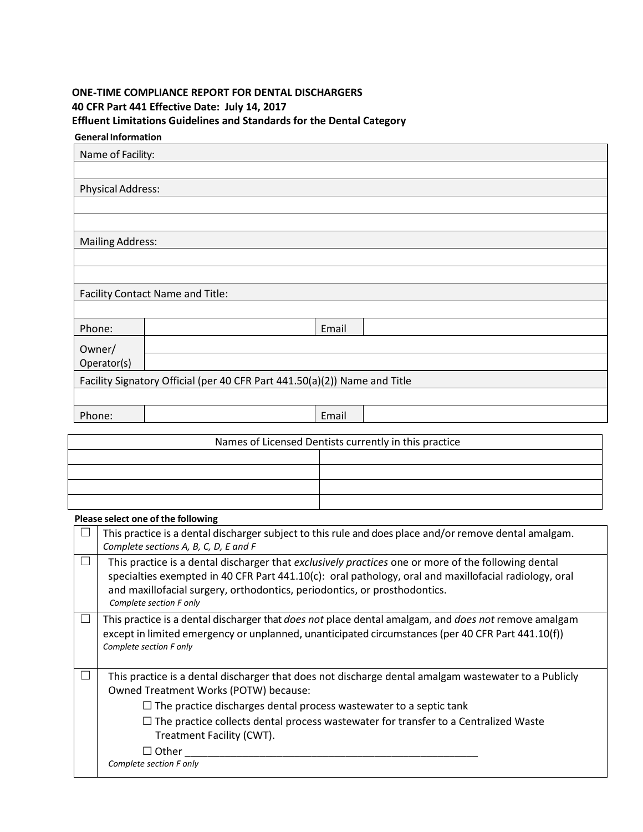## **ONE**‐**TIME COMPLIANCE REPORT FOR DENTAL DISCHARGERS 40 CFR Part 441 Effective Date: July 14, 2017 Effluent Limitations Guidelines and Standards for the Dental Category**

| <b>General Information</b> |                                                                           |       |  |
|----------------------------|---------------------------------------------------------------------------|-------|--|
| Name of Facility:          |                                                                           |       |  |
|                            |                                                                           |       |  |
| <b>Physical Address:</b>   |                                                                           |       |  |
|                            |                                                                           |       |  |
|                            |                                                                           |       |  |
| <b>Mailing Address:</b>    |                                                                           |       |  |
|                            |                                                                           |       |  |
|                            |                                                                           |       |  |
|                            | Facility Contact Name and Title:                                          |       |  |
|                            |                                                                           |       |  |
| Phone:                     |                                                                           | Email |  |
| Owner/                     |                                                                           |       |  |
| Operator(s)                |                                                                           |       |  |
|                            | Facility Signatory Official (per 40 CFR Part 441.50(a)(2)) Name and Title |       |  |
|                            |                                                                           |       |  |
| Phone:                     |                                                                           | Email |  |
|                            |                                                                           |       |  |

| Names of Licensed Dentists currently in this practice |
|-------------------------------------------------------|
|                                                       |
|                                                       |
|                                                       |
|                                                       |

#### **Please select one of the following**

| This practice is a dental discharger subject to this rule and does place and/or remove dental amalgam.<br>Complete sections A, B, C, D, E and F                                                                                                                                                                                                                                                  |
|--------------------------------------------------------------------------------------------------------------------------------------------------------------------------------------------------------------------------------------------------------------------------------------------------------------------------------------------------------------------------------------------------|
| This practice is a dental discharger that exclusively practices one or more of the following dental<br>specialties exempted in 40 CFR Part 441.10(c): oral pathology, oral and maxillofacial radiology, oral<br>and maxillofacial surgery, orthodontics, periodontics, or prosthodontics.<br>Complete section F only                                                                             |
| This practice is a dental discharger that does not place dental amalgam, and does not remove amalgam<br>except in limited emergency or unplanned, unanticipated circumstances (per 40 CFR Part 441.10(f))<br>Complete section F only                                                                                                                                                             |
| This practice is a dental discharger that does not discharge dental amalgam wastewater to a Publicly<br>Owned Treatment Works (POTW) because:<br>$\Box$ The practice discharges dental process wastewater to a septic tank<br>$\Box$ The practice collects dental process wastewater for transfer to a Centralized Waste<br>Treatment Facility (CWT).<br>$\Box$ Other<br>Complete section F only |
|                                                                                                                                                                                                                                                                                                                                                                                                  |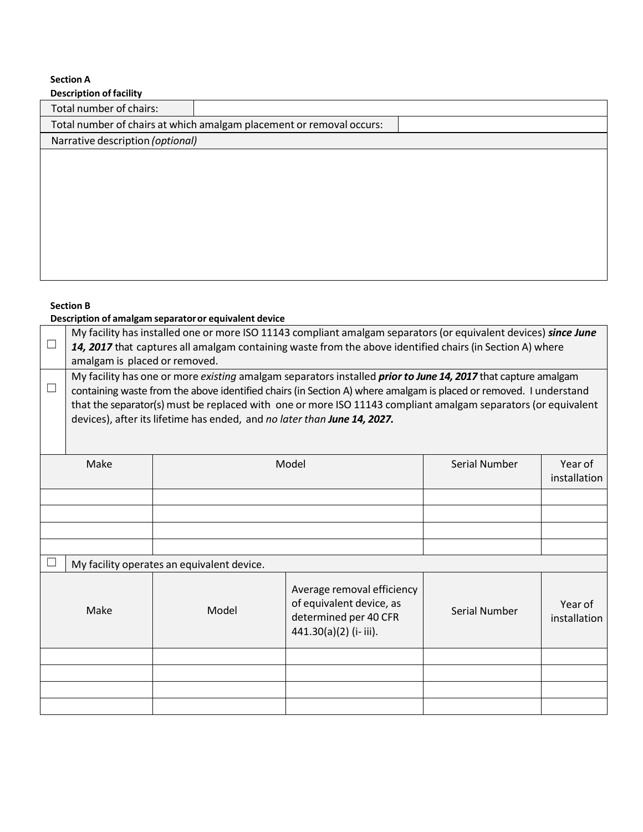# **Section A**

| <b>Description of facility</b>   |                                                                      |  |
|----------------------------------|----------------------------------------------------------------------|--|
| Total number of chairs:          |                                                                      |  |
|                                  | Total number of chairs at which amalgam placement or removal occurs: |  |
| Narrative description (optional) |                                                                      |  |
|                                  |                                                                      |  |
|                                  |                                                                      |  |
|                                  |                                                                      |  |
|                                  |                                                                      |  |
|                                  |                                                                      |  |
|                                  |                                                                      |  |
|                                  |                                                                      |  |

### **Section B**

### **Description of amalgam separatoror equivalent device**

| $\Box$ | amalgam is placed or removed.                                                                                                                                                                                                                                                                                                                                                                                                          |       | My facility has installed one or more ISO 11143 compliant amalgam separators (or equivalent devices) since June<br>14, 2017 that captures all amalgam containing waste from the above identified chairs (in Section A) where |               |                         |
|--------|----------------------------------------------------------------------------------------------------------------------------------------------------------------------------------------------------------------------------------------------------------------------------------------------------------------------------------------------------------------------------------------------------------------------------------------|-------|------------------------------------------------------------------------------------------------------------------------------------------------------------------------------------------------------------------------------|---------------|-------------------------|
|        | My facility has one or more existing amalgam separators installed <i>prior to June 14, 2017</i> that capture amalgam<br>containing waste from the above identified chairs (in Section A) where amalgam is placed or removed. I understand<br>that the separator(s) must be replaced with one or more ISO 11143 compliant amalgam separators (or equivalent<br>devices), after its lifetime has ended, and no later than June 14, 2027. |       |                                                                                                                                                                                                                              |               |                         |
|        | Make                                                                                                                                                                                                                                                                                                                                                                                                                                   | Model |                                                                                                                                                                                                                              | Serial Number | Year of<br>installation |
|        |                                                                                                                                                                                                                                                                                                                                                                                                                                        |       |                                                                                                                                                                                                                              |               |                         |
|        |                                                                                                                                                                                                                                                                                                                                                                                                                                        |       |                                                                                                                                                                                                                              |               |                         |
|        |                                                                                                                                                                                                                                                                                                                                                                                                                                        |       |                                                                                                                                                                                                                              |               |                         |
|        |                                                                                                                                                                                                                                                                                                                                                                                                                                        |       |                                                                                                                                                                                                                              |               |                         |
|        | My facility operates an equivalent device.                                                                                                                                                                                                                                                                                                                                                                                             |       |                                                                                                                                                                                                                              |               |                         |
|        | Make                                                                                                                                                                                                                                                                                                                                                                                                                                   | Model | Average removal efficiency<br>of equivalent device, as<br>determined per 40 CFR<br>$441.30(a)(2)$ (i-iii).                                                                                                                   | Serial Number | Year of<br>installation |
|        |                                                                                                                                                                                                                                                                                                                                                                                                                                        |       |                                                                                                                                                                                                                              |               |                         |
|        |                                                                                                                                                                                                                                                                                                                                                                                                                                        |       |                                                                                                                                                                                                                              |               |                         |
|        |                                                                                                                                                                                                                                                                                                                                                                                                                                        |       |                                                                                                                                                                                                                              |               |                         |
|        |                                                                                                                                                                                                                                                                                                                                                                                                                                        |       |                                                                                                                                                                                                                              |               |                         |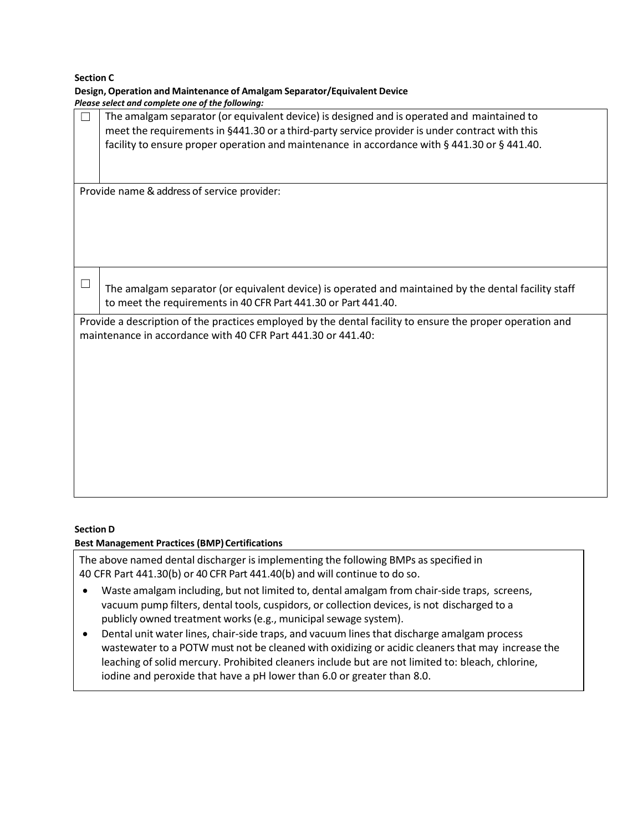**Section C**

| Design, Operation and Maintenance of Amalgam Separator/Equivalent Device                                  |
|-----------------------------------------------------------------------------------------------------------|
| Please select and complete one of the following:                                                          |
| The amalgam separator (or equivalent device) is designed and is operated and maintained to                |
| meet the requirements in §441.30 or a third-party service provider is under contract with this            |
| facility to ensure proper operation and maintenance in accordance with § 441.30 or § 441.40.              |
|                                                                                                           |
|                                                                                                           |
| Provide name & address of service provider:                                                               |
|                                                                                                           |
|                                                                                                           |
|                                                                                                           |
|                                                                                                           |
|                                                                                                           |
|                                                                                                           |
|                                                                                                           |
| The amalgam separator (or equivalent device) is operated and maintained by the dental facility staff      |
| to meet the requirements in 40 CFR Part 441.30 or Part 441.40.                                            |
| Provide a description of the practices employed by the dental facility to ensure the proper operation and |
| maintenance in accordance with 40 CFR Part 441.30 or 441.40:                                              |
|                                                                                                           |
|                                                                                                           |
|                                                                                                           |
|                                                                                                           |
|                                                                                                           |
|                                                                                                           |
|                                                                                                           |
|                                                                                                           |
|                                                                                                           |
|                                                                                                           |
|                                                                                                           |

### **Section D**

### **Best Management Practices (BMP) Certifications**

The above named dental discharger is implementing the following BMPs asspecified in 40 CFR Part 441.30(b) or 40 CFR Part 441.40(b) and will continue to do so.

- Waste amalgam including, but not limited to, dental amalgam from chair‐side traps, screens, vacuum pump filters, dental tools, cuspidors, or collection devices, is not discharged to a publicly owned treatment works(e.g., municipal sewage system).
- Dental unit water lines, chair-side traps, and vacuum lines that discharge amalgam process wastewater to a POTW must not be cleaned with oxidizing or acidic cleanersthat may increase the leaching of solid mercury. Prohibited cleaners include but are not limited to: bleach, chlorine, iodine and peroxide that have a pH lower than 6.0 or greater than 8.0.